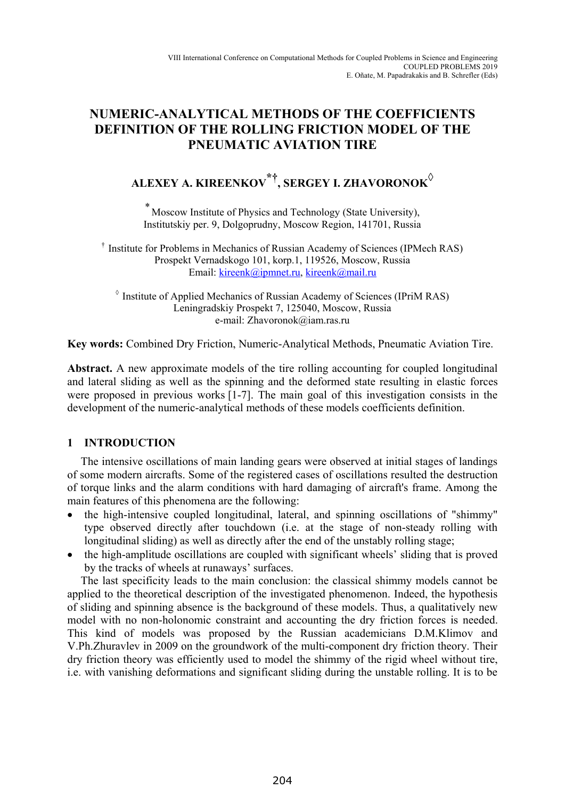## **NUMERIC-ANALYTICAL METHODS OF THE COEFFICIENTS DEFINITION OF THE ROLLING FRICTION MODEL OF THE PNEUMATIC AVIATION TIRE**

# **ALEXEY A. KIREENKOV\*†, SERGEY I. ZHAVORONOK◊**

\* Moscow Institute of Physics and Technology (State University), Institutskiy per. 9, Dolgoprudny, Moscow Region, 141701, Russia

† Institute for Problems in Mechanics of Russian Academy of Sciences (IPMech RAS) Prospekt Vernadskogo 101, korp.1, 119526, Moscow, Russia Email: kireenk@ipmnet.ru, kireenk@mail.ru

◊ Institute of Applied Mechanics of Russian Academy of Sciences (IPriM RAS) Leningradskiy Prospekt 7, 125040, Moscow, Russia e-mail: Zhavoronok@iam.ras.ru

**Key words:** Combined Dry Friction, Numeric-Analytical Methods, Pneumatic Aviation Tire.

**Abstract.** A new approximate models of the tire rolling accounting for coupled longitudinal and lateral sliding as well as the spinning and the deformed state resulting in elastic forces were proposed in previous works [1-7]. The main goal of this investigation consists in the development of the numeric-analytical methods of these models coefficients definition.

### **1 INTRODUCTION**

The intensive oscillations of main landing gears were observed at initial stages of landings of some modern aircrafts. Some of the registered cases of oscillations resulted the destruction of torque links and the alarm conditions with hard damaging of aircraft's frame. Among the main features of this phenomena are the following:

- the high-intensive coupled longitudinal, lateral, and spinning oscillations of "shimmy" type observed directly after touchdown (i.e. at the stage of non-steady rolling with longitudinal sliding) as well as directly after the end of the unstably rolling stage;
- the high-amplitude oscillations are coupled with significant wheels' sliding that is proved by the tracks of wheels at runaways' surfaces.

The last specificity leads to the main conclusion: the classical shimmy models cannot be applied to the theoretical description of the investigated phenomenon. Indeed, the hypothesis of sliding and spinning absence is the background of these models. Thus, a qualitatively new model with no non-holonomic constraint and accounting the dry friction forces is needed. This kind of models was proposed by the Russian academicians D.M.Klimov and V.Ph.Zhuravlev in 2009 on the groundwork of the multi-component dry friction theory. Their dry friction theory was efficiently used to model the shimmy of the rigid wheel without tire, i.e. with vanishing deformations and significant sliding during the unstable rolling. It is to be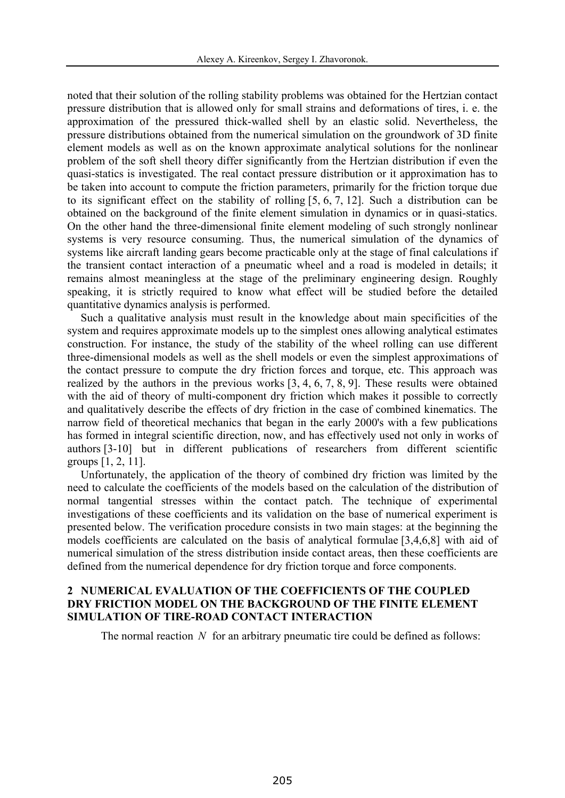noted that their solution of the rolling stability problems was obtained for the Hertzian contact pressure distribution that is allowed only for small strains and deformations of tires, i. e. the approximation of the pressured thick-walled shell by an elastic solid. Nevertheless, the pressure distributions obtained from the numerical simulation on the groundwork of 3D finite element models as well as on the known approximate analytical solutions for the nonlinear problem of the soft shell theory differ significantly from the Hertzian distribution if even the quasi-statics is investigated. The real contact pressure distribution or it approximation has to be taken into account to compute the friction parameters, primarily for the friction torque due to its significant effect on the stability of rolling [5, 6, 7, 12]. Such a distribution can be obtained on the background of the finite element simulation in dynamics or in quasi-statics. On the other hand the three-dimensional finite element modeling of such strongly nonlinear systems is very resource consuming. Thus, the numerical simulation of the dynamics of systems like aircraft landing gears become practicable only at the stage of final calculations if the transient contact interaction of a pneumatic wheel and a road is modeled in details; it remains almost meaningless at the stage of the preliminary engineering design. Roughly speaking, it is strictly required to know what effect will be studied before the detailed quantitative dynamics analysis is performed.

Such a qualitative analysis must result in the knowledge about main specificities of the system and requires approximate models up to the simplest ones allowing analytical estimates construction. For instance, the study of the stability of the wheel rolling can use different three-dimensional models as well as the shell models or even the simplest approximations of the contact pressure to compute the dry friction forces and torque, etc. This approach was realized by the authors in the previous works [3, 4, 6, 7, 8, 9]. These results were obtained with the aid of theory of multi-component dry friction which makes it possible to correctly and qualitatively describe the effects of dry friction in the case of combined kinematics. The narrow field of theoretical mechanics that began in the early 2000's with a few publications has formed in integral scientific direction, now, and has effectively used not only in works of authors [3-10] but in different publications of researchers from different scientific groups [1, 2, 11].

Unfortunately, the application of the theory of combined dry friction was limited by the need to calculate the coefficients of the models based on the calculation of the distribution of normal tangential stresses within the contact patch. The technique of experimental investigations of these coefficients and its validation on the base of numerical experiment is presented below. The verification procedure consists in two main stages: at the beginning the models coefficients are calculated on the basis of analytical formulae [3,4,6,8] with aid of numerical simulation of the stress distribution inside contact areas, then these coefficients are defined from the numerical dependence for dry friction torque and force components.

#### **2 NUMERICAL EVALUATION OF THE COEFFICIENTS OF THE COUPLED DRY FRICTION MODEL ON THE BACKGROUND OF THE FINITE ELEMENT SIMULATION OF TIRE-ROAD CONTACT INTERACTION**

The normal reaction *N* for an arbitrary pneumatic tire could be defined as follows: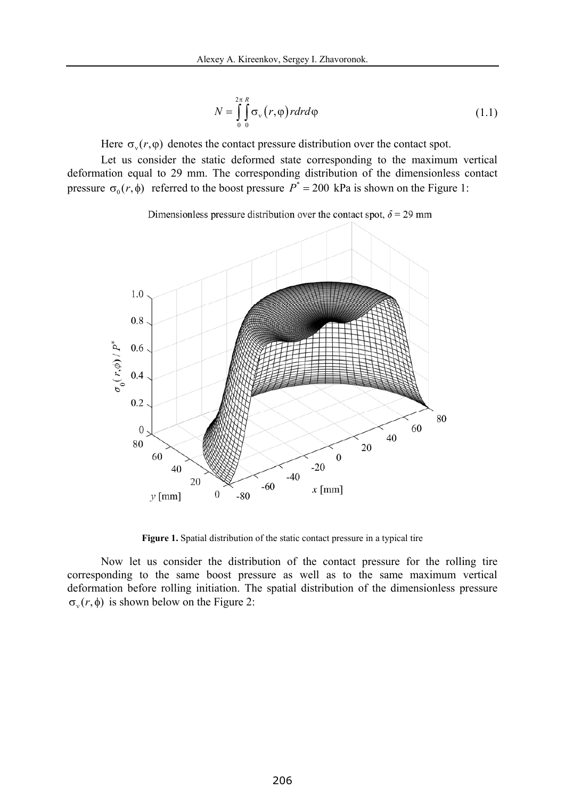$$
N = \int_{0}^{2\pi} \int_{0}^{R} \sigma_{v}(r,\varphi) r dr d\varphi
$$
 (1.1)

Here  $\sigma_{v}(r, \varphi)$  denotes the contact pressure distribution over the contact spot.

Let us consider the static deformed state corresponding to the maximum vertical deformation equal to 29 mm. The corresponding distribution of the dimensionless contact pressure  $\sigma_0(r, \phi)$  referred to the boost pressure  $P^* = 200$  kPa is shown on the Figure 1:

Dimensionless pressure distribution over the contact spot,  $\delta$  = 29 mm



Figure 1. Spatial distribution of the static contact pressure in a typical tire

Now let us consider the distribution of the contact pressure for the rolling tire corresponding to the same boost pressure as well as to the same maximum vertical deformation before rolling initiation. The spatial distribution of the dimensionless pressure  $\sigma_v(r, \phi)$  is shown below on the Figure 2: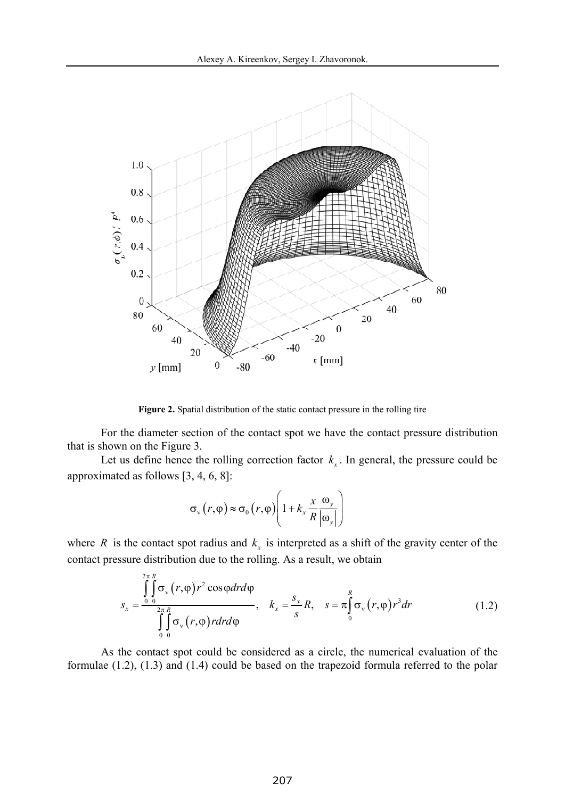

Figure 2. Spatial distribution of the static contact pressure in the rolling tire

For the diameter section of the contact spot we have the contact pressure distribution that is shown on the Figure 3.

Let us define hence the rolling correction factor  $k<sub>x</sub>$ . In general, the pressure could be approximated as follows [3, 4, 6, 8]:

$$
\sigma_{v}(r,\varphi) \approx \sigma_{0}(r,\varphi) \left(1 + k_{x} \frac{x}{R} \frac{\omega_{y}}{|\omega_{y}|}\right)
$$

where *R* is the contact spot radius and  $k<sub>x</sub>$  is interpreted as a shift of the gravity center of the contact pressure distribution due to the rolling. As a result, we obtain

$$
s_x = \frac{\int_{0}^{2\pi} \int_{0}^{R} \sigma_{v}(r,\varphi) r^2 \cos\varphi dr d\varphi}{\int_{0}^{2\pi} \int_{0}^{R} \sigma_{v}(r,\varphi) r dr d\varphi}, \quad k_x = \frac{s_x}{s} R, \quad s = \pi \int_{0}^{R} \sigma_{v}(r,\varphi) r^3 dr \tag{1.2}
$$

As the contact spot could be considered as a circle, the numerical evaluation of the formulae (1.2), (1.3) and (1.4) could be based on the trapezoid formula referred to the polar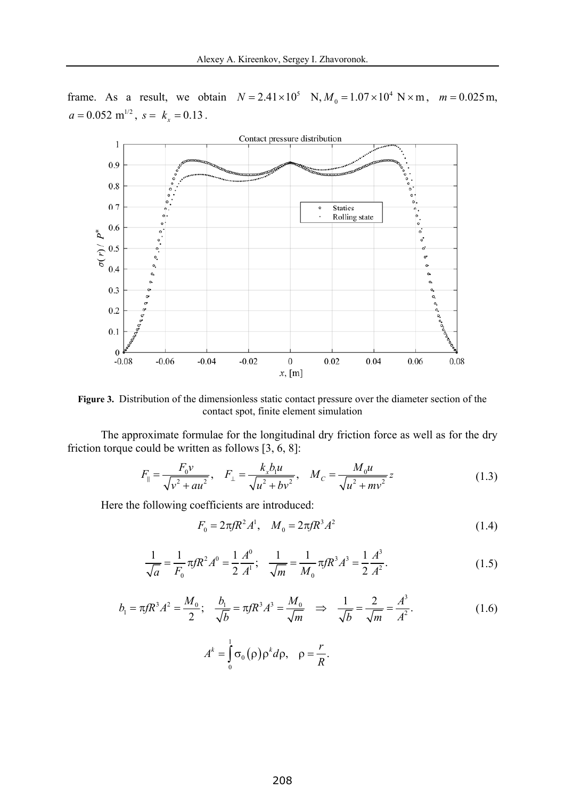frame. As a result, we obtain  $N = 2.41 \times 10^5$  N,  $M_0 = 1.07 \times 10^4$  N × m,  $m = 0.025$  m,  $a = 0.052 \text{ m}^{1/2}, s = k_x = 0.13$ .



**Figure 3.** Distribution of the dimensionless static contact pressure over the diameter section of the contact spot, finite element simulation

The approximate formulae for the longitudinal dry friction force as well as for the dry friction torque could be written as follows [3, 6, 8]:

$$
F_{\parallel} = \frac{F_0 v}{\sqrt{v^2 + au^2}}, \quad F_{\perp} = \frac{k_x b_1 u}{\sqrt{u^2 + bv^2}}, \quad M_C = \frac{M_0 u}{\sqrt{u^2 + mv^2}} z
$$
(1.3)

Here the following coefficients are introduced:

$$
F_0 = 2\pi f R^2 A^1, \quad M_0 = 2\pi f R^3 A^2 \tag{1.4}
$$

$$
\frac{1}{\sqrt{a}} = \frac{1}{F_0} \pi f R^2 A^0 = \frac{1}{2} \frac{A^0}{A^1}; \quad \frac{1}{\sqrt{m}} = \frac{1}{M_0} \pi f R^3 A^3 = \frac{1}{2} \frac{A^3}{A^2}.
$$
\n(1.5)

$$
b_1 = \pi f R^3 A^2 = \frac{M_0}{2}; \quad \frac{b_1}{\sqrt{b}} = \pi f R^3 A^3 = \frac{M_0}{\sqrt{m}} \Rightarrow \quad \frac{1}{\sqrt{b}} = \frac{2}{\sqrt{m}} = \frac{A^3}{A^2}.
$$
\n
$$
A^k = \int_0^1 \sigma_0(\rho) \rho^k d\rho, \quad \rho = \frac{r}{R}.
$$
\n(1.6)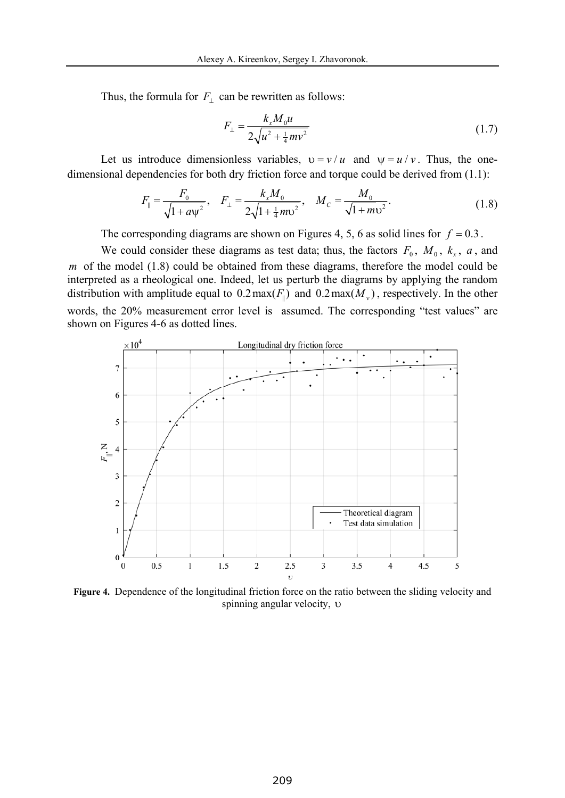Thus, the formula for  $F_{\perp}$  can be rewritten as follows:

$$
F_{\perp} = \frac{k_x M_0 u}{2\sqrt{u^2 + \frac{1}{4}mv^2}}
$$
(1.7)

Let us introduce dimensionless variables,  $v = v/u$  and  $v = u/v$ . Thus, the onedimensional dependencies for both dry friction force and torque could be derived from (1.1):

$$
F_{\parallel} = \frac{F_0}{\sqrt{1 + a \psi^2}}, \quad F_{\perp} = \frac{k_x M_0}{2\sqrt{1 + \frac{1}{4}m v^2}}, \quad M_C = \frac{M_0}{\sqrt{1 + m v^2}}.
$$
(1.8)

The corresponding diagrams are shown on Figures 4, 5, 6 as solid lines for  $f = 0.3$ .

We could consider these diagrams as test data; thus, the factors  $F_0$ ,  $M_0$ ,  $k_x$ ,  $a$ , and *m* of the model (1.8) could be obtained from these diagrams, therefore the model could be interpreted as a rheological one. Indeed, let us perturb the diagrams by applying the random distribution with amplitude equal to  $0.2 \max(F_{\parallel})$  and  $0.2 \max(M_{\nu})$ , respectively. In the other words, the 20% measurement error level is assumed. The corresponding "test values" are shown on Figures 4-6 as dotted lines.



**Figure 4.** Dependence of the longitudinal friction force on the ratio between the sliding velocity and spinning angular velocity,  $\upsilon$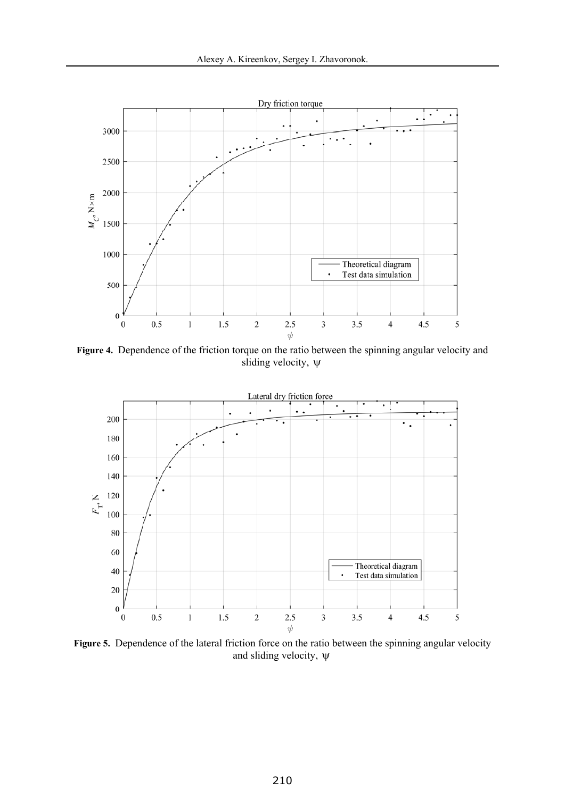

**Figure 4.** Dependence of the friction torque on the ratio between the spinning angular velocity and sliding velocity,  $\psi$ 



**Figure 5.** Dependence of the lateral friction force on the ratio between the spinning angular velocity and sliding velocity,  $\psi$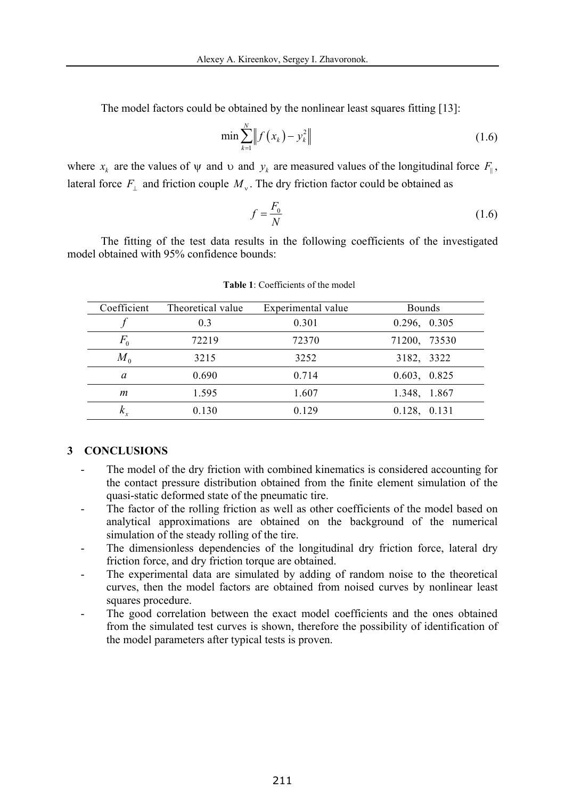The model factors could be obtained by the nonlinear least squares fitting [13]:

$$
\min \sum_{k=1}^{N} \left\| f(x_k) - y_k^2 \right\| \tag{1.6}
$$

where  $x_k$  are the values of  $\psi$  and  $\psi$  and  $\psi_k$  are measured values of the longitudinal force  $F_{\parallel}$ , lateral force  $F_{\perp}$  and friction couple  $M_{\nu}$ . The dry friction factor could be obtained as

$$
f = \frac{F_0}{N} \tag{1.6}
$$

The fitting of the test data results in the following coefficients of the investigated model obtained with 95% confidence bounds:

| Coefficient | Theoretical value | Experimental value | <b>Bounds</b>     |
|-------------|-------------------|--------------------|-------------------|
|             | 0.3               | 0.301              | 0.296, 0.305      |
| $F_{0}$     | 72219             | 72370              | 71200, 73530      |
| $M_{0}$     | 3215              | 3252               | 3182, 3322        |
| a           | 0.690             | 0.714              | 0.603, 0.825      |
| m           | 1.595             | 1.607              | 1.348, 1.867      |
| $K_{v}$     | 0.130             | 0.129              | $0.128$ , $0.131$ |
|             |                   |                    |                   |

**Table 1**: Coefficients of the model

#### **3 CONCLUSIONS**

- The model of the dry friction with combined kinematics is considered accounting for the contact pressure distribution obtained from the finite element simulation of the quasi-static deformed state of the pneumatic tire.
- The factor of the rolling friction as well as other coefficients of the model based on analytical approximations are obtained on the background of the numerical simulation of the steady rolling of the tire.
- The dimensionless dependencies of the longitudinal dry friction force, lateral dry friction force, and dry friction torque are obtained.
- The experimental data are simulated by adding of random noise to the theoretical curves, then the model factors are obtained from noised curves by nonlinear least squares procedure.
- The good correlation between the exact model coefficients and the ones obtained from the simulated test curves is shown, therefore the possibility of identification of the model parameters after typical tests is proven.